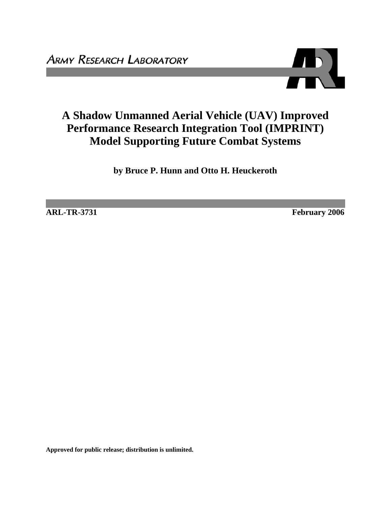**ARMY RESEARCH LABORATORY** 



# **A Shadow Unmanned Aerial Vehicle (UAV) Improved Performance Research Integration Tool (IMPRINT) Model Supporting Future Combat Systems**

**by Bruce P. Hunn and Otto H. Heuckeroth** 

**ARL-TR-3731 February 2006** 

**Approved for public release; distribution is unlimited.**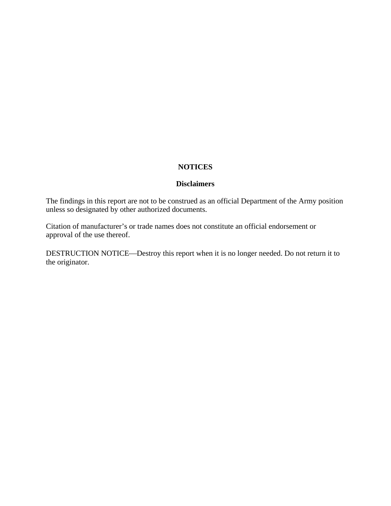### **NOTICES**

### **Disclaimers**

The findings in this report are not to be construed as an official Department of the Army position unless so designated by other authorized documents.

Citation of manufacturer's or trade names does not constitute an official endorsement or approval of the use thereof.

DESTRUCTION NOTICE—Destroy this report when it is no longer needed. Do not return it to the originator.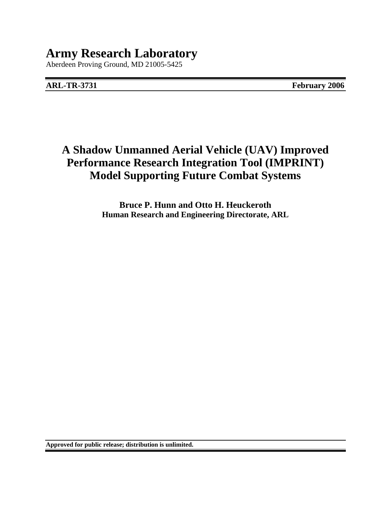# **Army Research Laboratory**

Aberdeen Proving Ground, MD 21005-5425

**February 2006** 

# **A Shadow Unmanned Aerial Vehicle (UAV) Improved Performance Research Integration Tool (IMPRINT) Model Supporting Future Combat Systems**

**Bruce P. Hunn and Otto H. Heuckeroth Human Research and Engineering Directorate, ARL** 

**Approved for public release; distribution is unlimited.**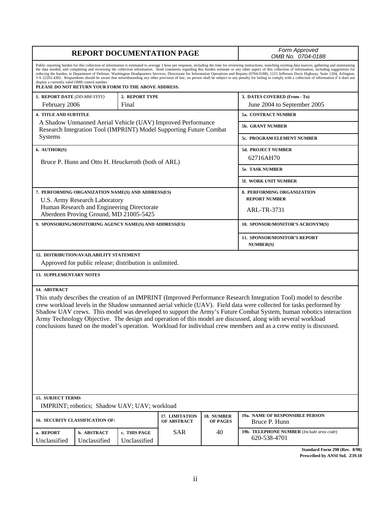| <b>REPORT DOCUMENTATION PAGE</b>                                                                                                                                                                                                                                                                                                                                                                                                                                                                                                                                                                                                                                                                                                                                                                                                                                                                                                                              | Form Approved<br>OMB No. 0704-0188 |                               |                                  |                                                                                                                                                                                                                                   |  |  |  |
|---------------------------------------------------------------------------------------------------------------------------------------------------------------------------------------------------------------------------------------------------------------------------------------------------------------------------------------------------------------------------------------------------------------------------------------------------------------------------------------------------------------------------------------------------------------------------------------------------------------------------------------------------------------------------------------------------------------------------------------------------------------------------------------------------------------------------------------------------------------------------------------------------------------------------------------------------------------|------------------------------------|-------------------------------|----------------------------------|-----------------------------------------------------------------------------------------------------------------------------------------------------------------------------------------------------------------------------------|--|--|--|
| Public reporting burden for this collection of information is estimated to average 1 hour per response, including the time for reviewing instructions, searching existing data sources, gathering and maintaining<br>the data needed, and completing and reviewing the collection information. Send comments regarding this burden estimate or any other aspect of this collection of information, including suggestions for<br>reducing the burden, to Department of Defense, Washington Headquarters Services, Directorate for Information Operations and Reports (0704-0188), 1215 Jefferson Davis Highway, Suite 1204, Arlington,<br>VA 22202-4302. Respondents should be aware that notwithstanding any other provision of law, no person shall be subject to any penalty for failing to comply with a collection of information if it does not<br>display a currently valid OMB control number.<br>PLEASE DO NOT RETURN YOUR FORM TO THE ABOVE ADDRESS. |                                    |                               |                                  |                                                                                                                                                                                                                                   |  |  |  |
| 1. REPORT DATE (DD-MM-YYYY)<br>2. REPORT TYPE                                                                                                                                                                                                                                                                                                                                                                                                                                                                                                                                                                                                                                                                                                                                                                                                                                                                                                                 |                                    |                               |                                  | 3. DATES COVERED (From - To)                                                                                                                                                                                                      |  |  |  |
| February 2006                                                                                                                                                                                                                                                                                                                                                                                                                                                                                                                                                                                                                                                                                                                                                                                                                                                                                                                                                 | Final                              | June 2004 to September 2005   |                                  |                                                                                                                                                                                                                                   |  |  |  |
| <b>4. TITLE AND SUBTITLE</b>                                                                                                                                                                                                                                                                                                                                                                                                                                                                                                                                                                                                                                                                                                                                                                                                                                                                                                                                  |                                    |                               |                                  | 5a. CONTRACT NUMBER                                                                                                                                                                                                               |  |  |  |
| A Shadow Unmanned Aerial Vehicle (UAV) Improved Performance<br>Research Integration Tool (IMPRINT) Model Supporting Future Combat                                                                                                                                                                                                                                                                                                                                                                                                                                                                                                                                                                                                                                                                                                                                                                                                                             |                                    |                               |                                  | 5b. GRANT NUMBER                                                                                                                                                                                                                  |  |  |  |
| <b>Systems</b>                                                                                                                                                                                                                                                                                                                                                                                                                                                                                                                                                                                                                                                                                                                                                                                                                                                                                                                                                |                                    |                               |                                  | 5c. PROGRAM ELEMENT NUMBER                                                                                                                                                                                                        |  |  |  |
| 6. AUTHOR(S)                                                                                                                                                                                                                                                                                                                                                                                                                                                                                                                                                                                                                                                                                                                                                                                                                                                                                                                                                  |                                    |                               |                                  | 5d. PROJECT NUMBER                                                                                                                                                                                                                |  |  |  |
| Bruce P. Hunn and Otto H. Heuckeroth (both of ARL)                                                                                                                                                                                                                                                                                                                                                                                                                                                                                                                                                                                                                                                                                                                                                                                                                                                                                                            |                                    |                               |                                  | 62716AH70                                                                                                                                                                                                                         |  |  |  |
|                                                                                                                                                                                                                                                                                                                                                                                                                                                                                                                                                                                                                                                                                                                                                                                                                                                                                                                                                               |                                    |                               |                                  | 5e. TASK NUMBER                                                                                                                                                                                                                   |  |  |  |
|                                                                                                                                                                                                                                                                                                                                                                                                                                                                                                                                                                                                                                                                                                                                                                                                                                                                                                                                                               |                                    |                               |                                  | 5f. WORK UNIT NUMBER                                                                                                                                                                                                              |  |  |  |
| 7. PERFORMING ORGANIZATION NAME(S) AND ADDRESS(ES)                                                                                                                                                                                                                                                                                                                                                                                                                                                                                                                                                                                                                                                                                                                                                                                                                                                                                                            |                                    |                               |                                  | 8. PERFORMING ORGANIZATION                                                                                                                                                                                                        |  |  |  |
| <b>U.S. Army Research Laboratory</b>                                                                                                                                                                                                                                                                                                                                                                                                                                                                                                                                                                                                                                                                                                                                                                                                                                                                                                                          |                                    |                               |                                  | <b>REPORT NUMBER</b>                                                                                                                                                                                                              |  |  |  |
| Human Research and Engineering Directorate<br>Aberdeen Proving Ground, MD 21005-5425                                                                                                                                                                                                                                                                                                                                                                                                                                                                                                                                                                                                                                                                                                                                                                                                                                                                          |                                    |                               |                                  | ARL-TR-3731                                                                                                                                                                                                                       |  |  |  |
| 9. SPONSORING/MONITORING AGENCY NAME(S) AND ADDRESS(ES)                                                                                                                                                                                                                                                                                                                                                                                                                                                                                                                                                                                                                                                                                                                                                                                                                                                                                                       |                                    |                               | 10. SPONSOR/MONITOR'S ACRONYM(S) |                                                                                                                                                                                                                                   |  |  |  |
|                                                                                                                                                                                                                                                                                                                                                                                                                                                                                                                                                                                                                                                                                                                                                                                                                                                                                                                                                               |                                    |                               |                                  | <b>11. SPONSOR/MONITOR'S REPORT</b><br><b>NUMBER(S)</b>                                                                                                                                                                           |  |  |  |
| 12. DISTRIBUTION/AVAILABILITY STATEMENT                                                                                                                                                                                                                                                                                                                                                                                                                                                                                                                                                                                                                                                                                                                                                                                                                                                                                                                       |                                    |                               |                                  |                                                                                                                                                                                                                                   |  |  |  |
| Approved for public release; distribution is unlimited.                                                                                                                                                                                                                                                                                                                                                                                                                                                                                                                                                                                                                                                                                                                                                                                                                                                                                                       |                                    |                               |                                  |                                                                                                                                                                                                                                   |  |  |  |
| <b>13. SUPPLEMENTARY NOTES</b>                                                                                                                                                                                                                                                                                                                                                                                                                                                                                                                                                                                                                                                                                                                                                                                                                                                                                                                                |                                    |                               |                                  |                                                                                                                                                                                                                                   |  |  |  |
| 14. ABSTRACT                                                                                                                                                                                                                                                                                                                                                                                                                                                                                                                                                                                                                                                                                                                                                                                                                                                                                                                                                  |                                    |                               |                                  |                                                                                                                                                                                                                                   |  |  |  |
|                                                                                                                                                                                                                                                                                                                                                                                                                                                                                                                                                                                                                                                                                                                                                                                                                                                                                                                                                               |                                    |                               |                                  | This study describes the creation of an IMPRINT (Improved Performance Research Integration Tool) model to describe                                                                                                                |  |  |  |
|                                                                                                                                                                                                                                                                                                                                                                                                                                                                                                                                                                                                                                                                                                                                                                                                                                                                                                                                                               |                                    |                               |                                  | crew workload levels in the Shadow unmanned aerial vehicle (UAV). Field data were collected for tasks performed by                                                                                                                |  |  |  |
|                                                                                                                                                                                                                                                                                                                                                                                                                                                                                                                                                                                                                                                                                                                                                                                                                                                                                                                                                               |                                    |                               |                                  | Shadow UAV crews. This model was developed to support the Army's Future Combat System, human robotics interaction<br>Army Technology Objective. The design and operation of this model are discussed, along with several workload |  |  |  |
|                                                                                                                                                                                                                                                                                                                                                                                                                                                                                                                                                                                                                                                                                                                                                                                                                                                                                                                                                               |                                    |                               |                                  | conclusions based on the model's operation. Workload for individual crew members and as a crew entity is discussed.                                                                                                               |  |  |  |
|                                                                                                                                                                                                                                                                                                                                                                                                                                                                                                                                                                                                                                                                                                                                                                                                                                                                                                                                                               |                                    |                               |                                  |                                                                                                                                                                                                                                   |  |  |  |
|                                                                                                                                                                                                                                                                                                                                                                                                                                                                                                                                                                                                                                                                                                                                                                                                                                                                                                                                                               |                                    |                               |                                  |                                                                                                                                                                                                                                   |  |  |  |
|                                                                                                                                                                                                                                                                                                                                                                                                                                                                                                                                                                                                                                                                                                                                                                                                                                                                                                                                                               |                                    |                               |                                  |                                                                                                                                                                                                                                   |  |  |  |
|                                                                                                                                                                                                                                                                                                                                                                                                                                                                                                                                                                                                                                                                                                                                                                                                                                                                                                                                                               |                                    |                               |                                  |                                                                                                                                                                                                                                   |  |  |  |
|                                                                                                                                                                                                                                                                                                                                                                                                                                                                                                                                                                                                                                                                                                                                                                                                                                                                                                                                                               |                                    |                               |                                  |                                                                                                                                                                                                                                   |  |  |  |
|                                                                                                                                                                                                                                                                                                                                                                                                                                                                                                                                                                                                                                                                                                                                                                                                                                                                                                                                                               |                                    |                               |                                  |                                                                                                                                                                                                                                   |  |  |  |
|                                                                                                                                                                                                                                                                                                                                                                                                                                                                                                                                                                                                                                                                                                                                                                                                                                                                                                                                                               |                                    |                               |                                  |                                                                                                                                                                                                                                   |  |  |  |
| <b>15. SUBJECT TERMS</b>                                                                                                                                                                                                                                                                                                                                                                                                                                                                                                                                                                                                                                                                                                                                                                                                                                                                                                                                      |                                    |                               |                                  |                                                                                                                                                                                                                                   |  |  |  |
| IMPRINT; robotics; Shadow UAV; UAV; workload                                                                                                                                                                                                                                                                                                                                                                                                                                                                                                                                                                                                                                                                                                                                                                                                                                                                                                                  |                                    |                               |                                  |                                                                                                                                                                                                                                   |  |  |  |
| <b>16. SECURITY CLASSIFICATION OF:</b>                                                                                                                                                                                                                                                                                                                                                                                                                                                                                                                                                                                                                                                                                                                                                                                                                                                                                                                        |                                    | 17. LIMITATION<br>OF ABSTRACT | 18. NUMBER<br><b>OF PAGES</b>    | 19a. NAME OF RESPONSIBLE PERSON<br>Bruce P. Hunn                                                                                                                                                                                  |  |  |  |
| b. ABSTRACT<br>a. REPORT                                                                                                                                                                                                                                                                                                                                                                                                                                                                                                                                                                                                                                                                                                                                                                                                                                                                                                                                      | c. THIS PAGE                       | <b>SAR</b>                    | 40                               | 19b. TELEPHONE NUMBER (Include area code)                                                                                                                                                                                         |  |  |  |
| Unclassified<br>Unclassified                                                                                                                                                                                                                                                                                                                                                                                                                                                                                                                                                                                                                                                                                                                                                                                                                                                                                                                                  | Unclassified                       |                               |                                  | 620-538-4701                                                                                                                                                                                                                      |  |  |  |

**Standard Form 298 (Rev. 8/98) Prescribed by ANSI Std. Z39.18**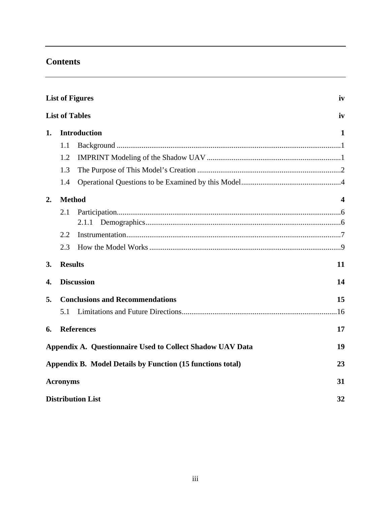## **Contents**

|    |                 | <b>List of Figures</b>                                            | iv |
|----|-----------------|-------------------------------------------------------------------|----|
|    |                 | <b>List of Tables</b>                                             | iv |
| 1. |                 | <b>Introduction</b>                                               | 1  |
|    | 1.1             |                                                                   |    |
|    | 1.2             |                                                                   |    |
|    | 1.3             |                                                                   |    |
|    | 1.4             |                                                                   |    |
| 2. |                 | <b>Method</b>                                                     | 4  |
|    | 2.1             |                                                                   |    |
|    |                 | 2.1.1                                                             |    |
|    | 2.2             |                                                                   |    |
|    | 2.3             |                                                                   |    |
| 3. | <b>Results</b>  |                                                                   | 11 |
| 4. |                 | <b>Discussion</b>                                                 | 14 |
| 5. |                 | <b>Conclusions and Recommendations</b>                            | 15 |
|    | 5.1             |                                                                   |    |
| 6. |                 | <b>References</b>                                                 | 17 |
|    |                 | Appendix A. Questionnaire Used to Collect Shadow UAV Data         | 19 |
|    |                 | <b>Appendix B. Model Details by Function (15 functions total)</b> | 23 |
|    | <b>Acronyms</b> |                                                                   | 31 |
|    |                 | <b>Distribution List</b>                                          | 32 |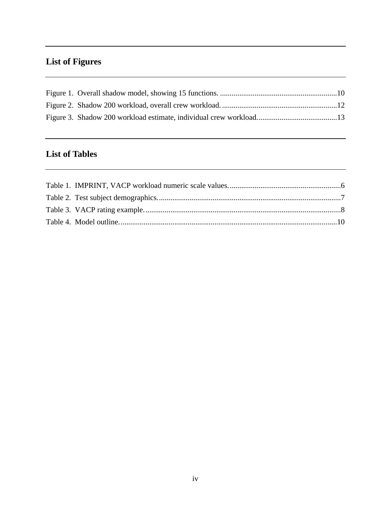## **List of Figures**

## **List of Tables**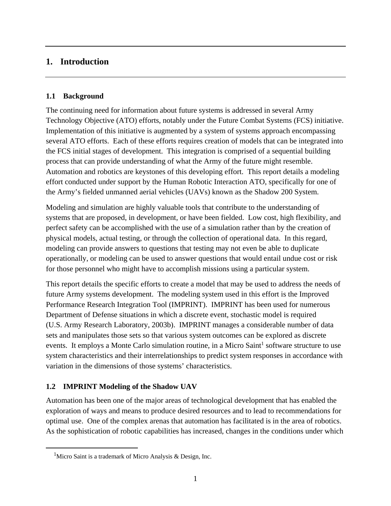### **1. Introduction**

### **1.1 Background**

The continuing need for information about future systems is addressed in several Army Technology Objective (ATO) efforts, notably under the Future Combat Systems (FCS) initiative. Implementation of this initiative is augmented by a system of systems approach encompassing several ATO efforts. Each of these efforts requires creation of models that can be integrated into the FCS initial stages of development. This integration is comprised of a sequential building process that can provide understanding of what the Army of the future might resemble. Automation and robotics are keystones of this developing effort. This report details a modeling effort conducted under support by the Human Robotic Interaction ATO, specifically for one of the Army's fielded unmanned aerial vehicles (UAVs) known as the Shadow 200 System.

Modeling and simulation are highly valuable tools that contribute to the understanding of systems that are proposed, in development, or have been fielded. Low cost, high flexibility, and perfect safety can be accomplished with the use of a simulation rather than by the creation of physical models, actual testing, or through the collection of operational data. In this regard, modeling can provide answers to questions that testing may not even be able to duplicate operationally, or modeling can be used to answer questions that would entail undue cost or risk for those personnel who might have to accomplish missions using a particular system.

This report details the specific efforts to create a model that may be used to address the needs of future Army systems development. The modeling system used in this effort is the Improved Performance Research Integration Tool (IMPRINT). IMPRINT has been used for numerous Department of Defense situations in which a discrete event, stochastic model is required (U.S. Army Research Laboratory, 2003b). IMPRINT manages a considerable number of data sets and manipulates those sets so that various system outcomes can be explored as discrete events. It employs a Monte Carlo simulation routine, in a Micro Saint<sup>1</sup> software structure to use system characteristics and their interrelationships to predict system responses in accordance with variation in the dimensions of those systems' characteristics.

### **1.2 IMPRINT Modeling of the Shadow UAV**

Automation has been one of the major areas of technological development that has enabled the exploration of ways and means to produce desired resources and to lead to recommendations for optimal use. One of the complex arenas that automation has facilitated is in the area of robotics. As the sophistication of robotic capabilities has increased, changes in the conditions under which

<sup>&</sup>lt;sup>1</sup>Micro Saint is a trademark of Micro Analysis & Design, Inc.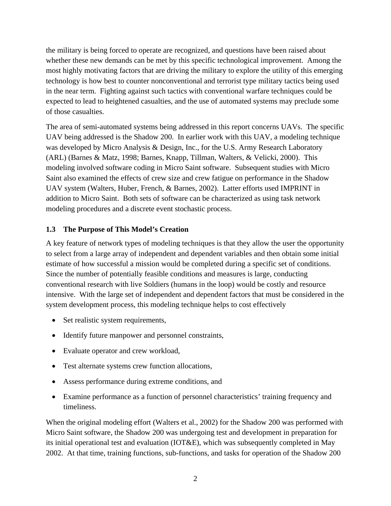the military is being forced to operate are recognized, and questions have been raised about whether these new demands can be met by this specific technological improvement. Among the most highly motivating factors that are driving the military to explore the utility of this emerging technology is how best to counter nonconventional and terrorist type military tactics being used in the near term. Fighting against such tactics with conventional warfare techniques could be expected to lead to heightened casualties, and the use of automated systems may preclude some of those casualties.

The area of semi-automated systems being addressed in this report concerns UAVs. The specific UAV being addressed is the Shadow 200. In earlier work with this UAV, a modeling technique was developed by Micro Analysis & Design, Inc., for the U.S. Army Research Laboratory (ARL) (Barnes & Matz, 1998; Barnes, Knapp, Tillman, Walters, & Velicki, 2000). This modeling involved software coding in Micro Saint software. Subsequent studies with Micro Saint also examined the effects of crew size and crew fatigue on performance in the Shadow UAV system (Walters, Huber, French, & Barnes, 2002). Latter efforts used IMPRINT in addition to Micro Saint. Both sets of software can be characterized as using task network modeling procedures and a discrete event stochastic process.

### **1.3 The Purpose of This Model's Creation**

A key feature of network types of modeling techniques is that they allow the user the opportunity to select from a large array of independent and dependent variables and then obtain some initial estimate of how successful a mission would be completed during a specific set of conditions. Since the number of potentially feasible conditions and measures is large, conducting conventional research with live Soldiers (humans in the loop) would be costly and resource intensive. With the large set of independent and dependent factors that must be considered in the system development process, this modeling technique helps to cost effectively

- Set realistic system requirements,
- Identify future manpower and personnel constraints,
- Evaluate operator and crew workload,
- Test alternate systems crew function allocations,
- Assess performance during extreme conditions, and
- Examine performance as a function of personnel characteristics' training frequency and timeliness.

When the original modeling effort (Walters et al., 2002) for the Shadow 200 was performed with Micro Saint software, the Shadow 200 was undergoing test and development in preparation for its initial operational test and evaluation (IOT&E), which was subsequently completed in May 2002. At that time, training functions, sub-functions, and tasks for operation of the Shadow 200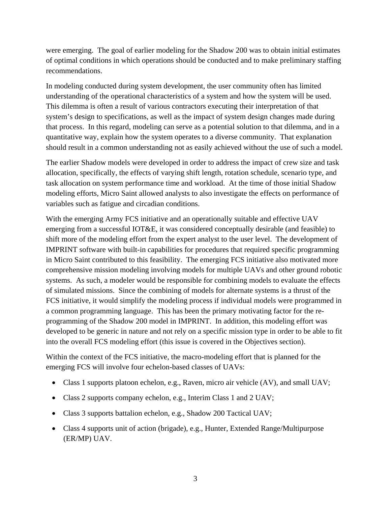were emerging. The goal of earlier modeling for the Shadow 200 was to obtain initial estimates of optimal conditions in which operations should be conducted and to make preliminary staffing recommendations.

In modeling conducted during system development, the user community often has limited understanding of the operational characteristics of a system and how the system will be used. This dilemma is often a result of various contractors executing their interpretation of that system's design to specifications, as well as the impact of system design changes made during that process. In this regard, modeling can serve as a potential solution to that dilemma, and in a quantitative way, explain how the system operates to a diverse community. That explanation should result in a common understanding not as easily achieved without the use of such a model.

The earlier Shadow models were developed in order to address the impact of crew size and task allocation, specifically, the effects of varying shift length, rotation schedule, scenario type, and task allocation on system performance time and workload. At the time of those initial Shadow modeling efforts, Micro Saint allowed analysts to also investigate the effects on performance of variables such as fatigue and circadian conditions.

With the emerging Army FCS initiative and an operationally suitable and effective UAV emerging from a successful IOT&E, it was considered conceptually desirable (and feasible) to shift more of the modeling effort from the expert analyst to the user level. The development of IMPRINT software with built-in capabilities for procedures that required specific programming in Micro Saint contributed to this feasibility. The emerging FCS initiative also motivated more comprehensive mission modeling involving models for multiple UAVs and other ground robotic systems. As such, a modeler would be responsible for combining models to evaluate the effects of simulated missions. Since the combining of models for alternate systems is a thrust of the FCS initiative, it would simplify the modeling process if individual models were programmed in a common programming language. This has been the primary motivating factor for the reprogramming of the Shadow 200 model in IMPRINT. In addition, this modeling effort was developed to be generic in nature and not rely on a specific mission type in order to be able to fit into the overall FCS modeling effort (this issue is covered in the Objectives section).

Within the context of the FCS initiative, the macro-modeling effort that is planned for the emerging FCS will involve four echelon-based classes of UAVs:

- Class 1 supports platoon echelon, e.g., Raven, micro air vehicle (AV), and small UAV;
- Class 2 supports company echelon, e.g., Interim Class 1 and 2 UAV;
- Class 3 supports battalion echelon, e.g., Shadow 200 Tactical UAV;
- Class 4 supports unit of action (brigade), e.g., Hunter, Extended Range/Multipurpose (ER/MP) UAV.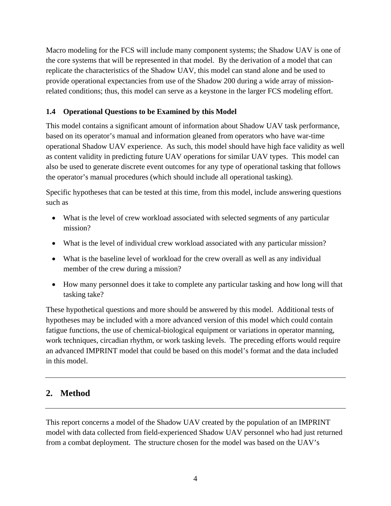Macro modeling for the FCS will include many component systems; the Shadow UAV is one of the core systems that will be represented in that model. By the derivation of a model that can replicate the characteristics of the Shadow UAV, this model can stand alone and be used to provide operational expectancies from use of the Shadow 200 during a wide array of missionrelated conditions; thus, this model can serve as a keystone in the larger FCS modeling effort.

### **1.4 Operational Questions to be Examined by this Model**

This model contains a significant amount of information about Shadow UAV task performance, based on its operator's manual and information gleaned from operators who have war-time operational Shadow UAV experience. As such, this model should have high face validity as well as content validity in predicting future UAV operations for similar UAV types. This model can also be used to generate discrete event outcomes for any type of operational tasking that follows the operator's manual procedures (which should include all operational tasking).

Specific hypotheses that can be tested at this time, from this model, include answering questions such as

- What is the level of crew workload associated with selected segments of any particular mission?
- What is the level of individual crew workload associated with any particular mission?
- What is the baseline level of workload for the crew overall as well as any individual member of the crew during a mission?
- How many personnel does it take to complete any particular tasking and how long will that tasking take?

These hypothetical questions and more should be answered by this model. Additional tests of hypotheses may be included with a more advanced version of this model which could contain fatigue functions, the use of chemical-biological equipment or variations in operator manning, work techniques, circadian rhythm, or work tasking levels. The preceding efforts would require an advanced IMPRINT model that could be based on this model's format and the data included in this model.

## **2. Method**

This report concerns a model of the Shadow UAV created by the population of an IMPRINT model with data collected from field-experienced Shadow UAV personnel who had just returned from a combat deployment. The structure chosen for the model was based on the UAV's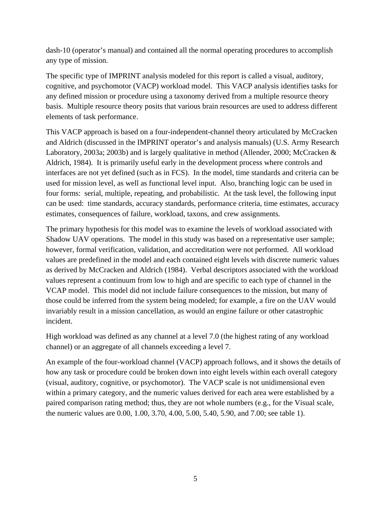dash-10 (operator's manual) and contained all the normal operating procedures to accomplish any type of mission.

The specific type of IMPRINT analysis modeled for this report is called a visual, auditory, cognitive, and psychomotor (VACP) workload model. This VACP analysis identifies tasks for any defined mission or procedure using a taxonomy derived from a multiple resource theory basis. Multiple resource theory posits that various brain resources are used to address different elements of task performance.

This VACP approach is based on a four-independent-channel theory articulated by McCracken and Aldrich (discussed in the IMPRINT operator's and analysis manuals) (U.S. Army Research Laboratory, 2003a; 2003b) and is largely qualitative in method (Allender, 2000; McCracken & Aldrich, 1984). It is primarily useful early in the development process where controls and interfaces are not yet defined (such as in FCS). In the model, time standards and criteria can be used for mission level, as well as functional level input. Also, branching logic can be used in four forms: serial, multiple, repeating, and probabilistic. At the task level, the following input can be used: time standards, accuracy standards, performance criteria, time estimates, accuracy estimates, consequences of failure, workload, taxons, and crew assignments.

The primary hypothesis for this model was to examine the levels of workload associated with Shadow UAV operations. The model in this study was based on a representative user sample; however, formal verification, validation, and accreditation were not performed. All workload values are predefined in the model and each contained eight levels with discrete numeric values as derived by McCracken and Aldrich (1984). Verbal descriptors associated with the workload values represent a continuum from low to high and are specific to each type of channel in the VCAP model. This model did not include failure consequences to the mission, but many of those could be inferred from the system being modeled; for example, a fire on the UAV would invariably result in a mission cancellation, as would an engine failure or other catastrophic incident.

High workload was defined as any channel at a level 7.0 (the highest rating of any workload channel) or an aggregate of all channels exceeding a level 7.

An example of the four-workload channel (VACP) approach follows, and it shows the details of how any task or procedure could be broken down into eight levels within each overall category (visual, auditory, cognitive, or psychomotor). The VACP scale is not unidimensional even within a primary category, and the numeric values derived for each area were established by a paired comparison rating method; thus, they are not whole numbers (e.g., for the Visual scale, the numeric values are 0.00, 1.00, 3.70, 4.00, 5.00, 5.40, 5.90, and 7.00; see table 1).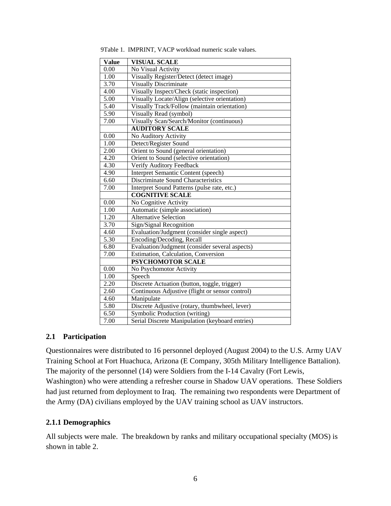| <b>Value</b>      | <b>VISUAL SCALE</b>                             |
|-------------------|-------------------------------------------------|
| 0.00              | No Visual Activity                              |
| 1.00              | Visually Register/Detect (detect image)         |
| 3.70              | <b>Visually Discriminate</b>                    |
| 4.00              | Visually Inspect/Check (static inspection)      |
| 5.00              | Visually Locate/Align (selective orientation)   |
| 5.40              | Visually Track/Follow (maintain orientation)    |
| $\overline{5.90}$ | Visually Read (symbol)                          |
| 7.00              | Visually Scan/Search/Monitor (continuous)       |
|                   | <b>AUDITORY SCALE</b>                           |
| 0.00              | No Auditory Activity                            |
| 1.00              | Detect/Register Sound                           |
| 2.00              | Orient to Sound (general orientation)           |
| 4.20              | Orient to Sound (selective orientation)         |
| 4.30              | Verify Auditory Feedback                        |
| 4.90              | <b>Interpret Semantic Content (speech)</b>      |
| 6.60              | Discriminate Sound Characteristics              |
| 7.00              | Interpret Sound Patterns (pulse rate, etc.)     |
|                   | <b>COGNITIVE SCALE</b>                          |
| 0.00              | No Cognitive Activity                           |
| 1.00              | Automatic (simple association)                  |
| 1.20              | <b>Alternative Selection</b>                    |
| 3.70              | Sign/Signal Recognition                         |
| 4.60              | Evaluation/Judgment (consider single aspect)    |
| 5.30              | Encoding/Decoding, Recall                       |
| 6.80              | Evaluation/Judgment (consider several aspects)  |
| 7.00              | Estimation, Calculation, Conversion             |
|                   | <b>PSYCHOMOTOR SCALE</b>                        |
| 0.00              | No Psychomotor Activity                         |
| 1.00              | Speech                                          |
| 2.20              | Discrete Actuation (button, toggle, trigger)    |
| 2.60              | Continuous Adjustive (flight or sensor control) |
| 4.60              | Manipulate                                      |
| 5.80              | Discrete Adjustive (rotary, thumbwheel, lever)  |
| 6.50              | Symbolic Production (writing)                   |
| 7.00              | Serial Discrete Manipulation (keyboard entries) |

9Table 1. IMPRINT, VACP workload numeric scale values.

### **2.1 Participation**

Questionnaires were distributed to 16 personnel deployed (August 2004) to the U.S. Army UAV Training School at Fort Huachuca, Arizona (E Company, 305th Military Intelligence Battalion). The majority of the personnel (14) were Soldiers from the I-14 Cavalry (Fort Lewis, Washington) who were attending a refresher course in Shadow UAV operations. These Soldiers had just returned from deployment to Iraq. The remaining two respondents were Department of the Army (DA) civilians employed by the UAV training school as UAV instructors.

### **2.1.1 Demographics**

All subjects were male. The breakdown by ranks and military occupational specialty (MOS) is shown in table 2.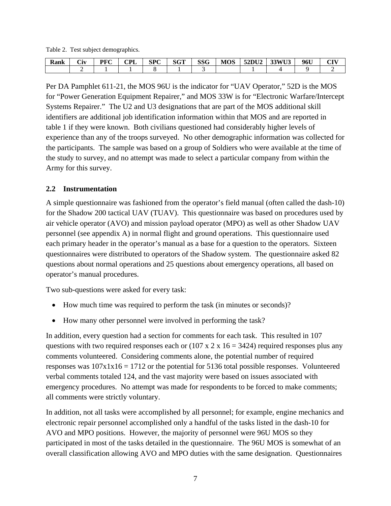Table 2. Test subject demographics.

| Kank | ~.<br>'1 V<br>ັ | DEC.<br>. . | $\cap$ di<br>- | CDC<br>IJΙ | $\alpha$ $\alpha$<br>м | CCT<br>DD G | млс<br>v<br>1V LV | 52DU2 | <b>22WI12</b><br>ັ<br>$\sim$ | -96U | $\sim$ - $\sim$ $\sim$ |
|------|-----------------|-------------|----------------|------------|------------------------|-------------|-------------------|-------|------------------------------|------|------------------------|
|      |                 |             |                |            |                        |             |                   |       |                              |      |                        |

Per DA Pamphlet 611-21, the MOS 96U is the indicator for "UAV Operator," 52D is the MOS for "Power Generation Equipment Repairer," and MOS 33W is for "Electronic Warfare/Intercept Systems Repairer." The U2 and U3 designations that are part of the MOS additional skill identifiers are additional job identification information within that MOS and are reported in table 1 if they were known. Both civilians questioned had considerably higher levels of experience than any of the troops surveyed. No other demographic information was collected for the participants. The sample was based on a group of Soldiers who were available at the time of the study to survey, and no attempt was made to select a particular company from within the Army for this survey.

### **2.2 Instrumentation**

A simple questionnaire was fashioned from the operator's field manual (often called the dash-10) for the Shadow 200 tactical UAV (TUAV). This questionnaire was based on procedures used by air vehicle operator (AVO) and mission payload operator (MPO) as well as other Shadow UAV personnel (see appendix A) in normal flight and ground operations. This questionnaire used each primary header in the operator's manual as a base for a question to the operators. Sixteen questionnaires were distributed to operators of the Shadow system. The questionnaire asked 82 questions about normal operations and 25 questions about emergency operations, all based on operator's manual procedures.

Two sub-questions were asked for every task:

- How much time was required to perform the task (in minutes or seconds)?
- How many other personnel were involved in performing the task?

In addition, every question had a section for comments for each task. This resulted in 107 questions with two required responses each or (107 x 2 x 16 = 3424) required responses plus any comments volunteered. Considering comments alone, the potential number of required responses was  $107x1x16 = 1712$  or the potential for 5136 total possible responses. Volunteered verbal comments totaled 124, and the vast majority were based on issues associated with emergency procedures. No attempt was made for respondents to be forced to make comments; all comments were strictly voluntary.

In addition, not all tasks were accomplished by all personnel; for example, engine mechanics and electronic repair personnel accomplished only a handful of the tasks listed in the dash-10 for AVO and MPO positions. However, the majority of personnel were 96U MOS so they participated in most of the tasks detailed in the questionnaire. The 96U MOS is somewhat of an overall classification allowing AVO and MPO duties with the same designation. Questionnaires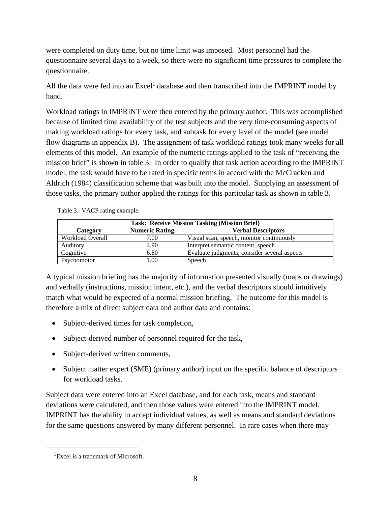were completed on duty time, but no time limit was imposed. Most personnel had the questionnaire several days to a week, so there were no significant time pressures to complete the questionnaire.

All the data were fed into an  $\text{Excel}^1$  database and then transcribed into the IMPRINT model by hand.

Workload ratings in IMPRINT were then entered by the primary author. This was accomplished because of limited time availability of the test subjects and the very time-consuming aspects of making workload ratings for every task, and subtask for every level of the model (see model flow diagrams in appendix B). The assignment of task workload ratings took many weeks for all elements of this model. An example of the numeric ratings applied to the task of "receiving the mission brief" is shown in table 3. In order to qualify that task action according to the IMPRINT model, the task would have to be rated in specific terms in accord with the McCracken and Aldrich (1984) classification scheme that was built into the model. Supplying an assessment of those tasks, the primary author applied the ratings for this particular task as shown in table 3.

|  |  |  | Table 3. VACP rating example. |
|--|--|--|-------------------------------|
|--|--|--|-------------------------------|

| <b>Task: Receive Mission Tasking (Mission Brief)</b> |                       |                                              |  |  |  |  |
|------------------------------------------------------|-----------------------|----------------------------------------------|--|--|--|--|
| Category                                             | <b>Numeric Rating</b> | <b>Verbal Descriptors</b>                    |  |  |  |  |
| <b>Workload Overall</b>                              | 7.00                  | Visual scan, speech, monitor continuously    |  |  |  |  |
| Auditory                                             | 4.90                  | Interpret semantic content, speech           |  |  |  |  |
| Cognitive                                            | 6.80                  | Evaluate judgments, consider several aspects |  |  |  |  |
| Psychomotor                                          | 0.00                  | Speech                                       |  |  |  |  |

A typical mission briefing has the majority of information presented visually (maps or drawings) and verbally (instructions, mission intent, etc.), and the verbal descriptors should intuitively match what would be expected of a normal mission briefing. The outcome for this model is therefore a mix of direct subject data and author data and contains:

- Subject-derived times for task completion,
- Subject-derived number of personnel required for the task,
- Subject-derived written comments,
- Subject matter expert (SME) (primary author) input on the specific balance of descriptors for workload tasks.

Subject data were entered into an Excel database, and for each task, means and standard deviations were calculated, and then those values were entered into the IMPRINT model. IMPRINT has the ability to accept individual values, as well as means and standard deviations for the same questions answered by many different personnel. In rare cases when there may

<sup>&</sup>lt;sup>1</sup>Excel is a trademark of Microsoft.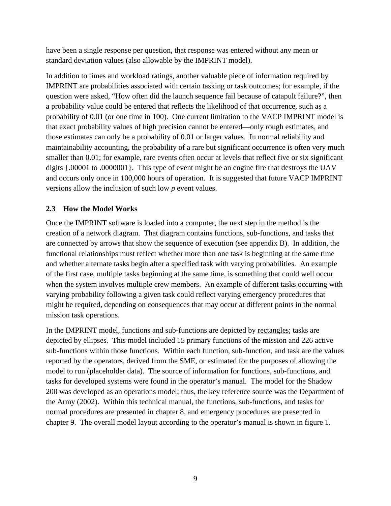have been a single response per question, that response was entered without any mean or standard deviation values (also allowable by the IMPRINT model).

In addition to times and workload ratings, another valuable piece of information required by IMPRINT are probabilities associated with certain tasking or task outcomes; for example, if the question were asked, "How often did the launch sequence fail because of catapult failure?", then a probability value could be entered that reflects the likelihood of that occurrence, such as a probability of 0.01 (or one time in 100). One current limitation to the VACP IMPRINT model is that exact probability values of high precision cannot be entered—only rough estimates, and those estimates can only be a probability of 0.01 or larger values. In normal reliability and maintainability accounting, the probability of a rare but significant occurrence is often very much smaller than 0.01; for example, rare events often occur at levels that reflect five or six significant digits {.00001 to .0000001}. This type of event might be an engine fire that destroys the UAV and occurs only once in 100,000 hours of operation. It is suggested that future VACP IMPRINT versions allow the inclusion of such low *p* event values.

### **2.3 How the Model Works**

Once the IMPRINT software is loaded into a computer, the next step in the method is the creation of a network diagram. That diagram contains functions, sub-functions, and tasks that are connected by arrows that show the sequence of execution (see appendix B). In addition, the functional relationships must reflect whether more than one task is beginning at the same time and whether alternate tasks begin after a specified task with varying probabilities. An example of the first case, multiple tasks beginning at the same time, is something that could well occur when the system involves multiple crew members. An example of different tasks occurring with varying probability following a given task could reflect varying emergency procedures that might be required, depending on consequences that may occur at different points in the normal mission task operations.

In the IMPRINT model, functions and sub-functions are depicted by rectangles; tasks are depicted by ellipses. This model included 15 primary functions of the mission and 226 active sub-functions within those functions. Within each function, sub-function, and task are the values reported by the operators, derived from the SME, or estimated for the purposes of allowing the model to run (placeholder data). The source of information for functions, sub-functions, and tasks for developed systems were found in the operator's manual. The model for the Shadow 200 was developed as an operations model; thus, the key reference source was the Department of the Army (2002). Within this technical manual, the functions, sub-functions, and tasks for normal procedures are presented in chapter 8, and emergency procedures are presented in chapter 9. The overall model layout according to the operator's manual is shown in figure 1.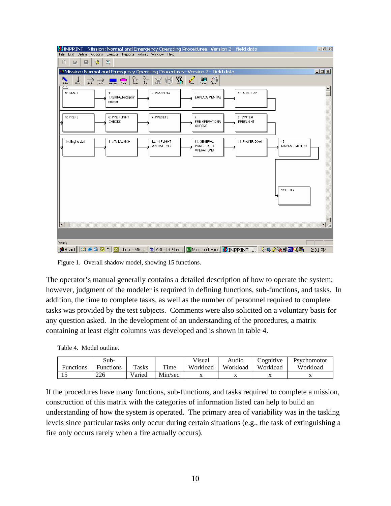| MPRINT - Mission: Normal and Emergency Operating Procedures--Version 2+ field data<br>Edit Define Options Execute Reports Adjust Window Help<br>File<br>$\circledcirc$<br>$\Box$<br>$\mathbb{R}^2$<br>$\Box$<br>$\circledast$                                                                                                                                                                                   | $  E $ $\times$         |
|-----------------------------------------------------------------------------------------------------------------------------------------------------------------------------------------------------------------------------------------------------------------------------------------------------------------------------------------------------------------------------------------------------------------|-------------------------|
| <sup>8</sup> Mission: Normal and Emergency Operating Procedures--Version 2+ field data<br>$\bigcap_{\mathsf{N}\in\mathsf{N}^+}$<br>$\int_{\mathsf{For}}$<br>$\sum_{\text{Select}}$<br>ëi<br>$\mathbb{H}$<br>$\mathbb X$<br>$\frac{1}{\text{Clear}}$<br>$\frac{50}{200}$<br>$\begin{array}{c} \ldots \stackrel{\wedge}{\longrightarrow} \\ \text{Undo} \end{array}$<br>$\Rightarrow$<br>Down<br>Task<br>Function | $ \Box$ $\times$ $\Box$ |
| 0: START<br>2: PLANNING<br>4: POWER UP<br>$\hat{\mathcal{S}}$ :<br>1:<br>TASKING/Receipt of<br><b>EMPLACEMENT/AS</b><br>mission                                                                                                                                                                                                                                                                                 |                         |
| 5: PREPS<br>7: PRESETS<br>6: PRE FLIGHT<br>9: SYSTEM<br>8.<br>PREFLIGHT<br>CHECKS<br>PRE-OPERATIONA<br>CHECKS                                                                                                                                                                                                                                                                                                   |                         |
| 13: POWER-DOWN<br>15:<br>10: Engine start<br>11: AV LAUNCH<br>12: IN-FLIGHT<br>14: GENERAL<br><b>OPERATIONS</b><br>POST-FLIGHT<br>DISPLACEMENT/D<br><b>OPERATIONS</b>                                                                                                                                                                                                                                           |                         |
|                                                                                                                                                                                                                                                                                                                                                                                                                 |                         |
| 999: END                                                                                                                                                                                                                                                                                                                                                                                                        |                         |
| $\vert\cdot\vert$                                                                                                                                                                                                                                                                                                                                                                                               | ᅹ                       |
| Ready                                                                                                                                                                                                                                                                                                                                                                                                           |                         |
|                                                                                                                                                                                                                                                                                                                                                                                                                 | 2:31 PM                 |

Figure 1. Overall shadow model, showing 15 functions.

The operator's manual generally contains a detailed description of how to operate the system; however, judgment of the modeler is required in defining functions, sub-functions, and tasks. In addition, the time to complete tasks, as well as the number of personnel required to complete tasks was provided by the test subjects. Comments were also solicited on a voluntary basis for any question asked. In the development of an understanding of the procedures, a matrix containing at least eight columns was developed and is shown in table 4.

Table 4. Model outline.

|           | Sub-             |        |         | T T<br>/isual | Audio          | Cognitive | Psychomotor |
|-----------|------------------|--------|---------|---------------|----------------|-----------|-------------|
| Functions | <b>Functions</b> | Tasks  | $T$ ime | Workload      | Workload       | Workload  | Workload    |
|           | 226              | Varied | Min/sec |               | $\overline{ }$ |           |             |

If the procedures have many functions, sub-functions, and tasks required to complete a mission, construction of this matrix with the categories of information listed can help to build an understanding of how the system is operated. The primary area of variability was in the tasking levels since particular tasks only occur during certain situations (e.g., the task of extinguishing a fire only occurs rarely when a fire actually occurs).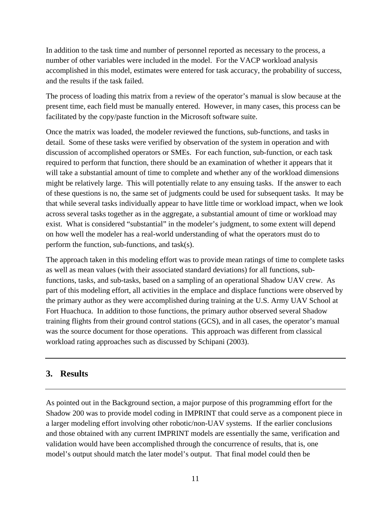In addition to the task time and number of personnel reported as necessary to the process, a number of other variables were included in the model. For the VACP workload analysis accomplished in this model, estimates were entered for task accuracy, the probability of success, and the results if the task failed.

The process of loading this matrix from a review of the operator's manual is slow because at the present time, each field must be manually entered. However, in many cases, this process can be facilitated by the copy/paste function in the Microsoft software suite.

Once the matrix was loaded, the modeler reviewed the functions, sub-functions, and tasks in detail. Some of these tasks were verified by observation of the system in operation and with discussion of accomplished operators or SMEs. For each function, sub-function, or each task required to perform that function, there should be an examination of whether it appears that it will take a substantial amount of time to complete and whether any of the workload dimensions might be relatively large. This will potentially relate to any ensuing tasks. If the answer to each of these questions is no, the same set of judgments could be used for subsequent tasks. It may be that while several tasks individually appear to have little time or workload impact, when we look across several tasks together as in the aggregate, a substantial amount of time or workload may exist. What is considered "substantial" in the modeler's judgment, to some extent will depend on how well the modeler has a real-world understanding of what the operators must do to perform the function, sub-functions, and task(s).

The approach taken in this modeling effort was to provide mean ratings of time to complete tasks as well as mean values (with their associated standard deviations) for all functions, subfunctions, tasks, and sub-tasks, based on a sampling of an operational Shadow UAV crew. As part of this modeling effort, all activities in the emplace and displace functions were observed by the primary author as they were accomplished during training at the U.S. Army UAV School at Fort Huachuca. In addition to those functions, the primary author observed several Shadow training flights from their ground control stations (GCS), and in all cases, the operator's manual was the source document for those operations. This approach was different from classical workload rating approaches such as discussed by Schipani (2003).

## **3. Results**

As pointed out in the Background section, a major purpose of this programming effort for the Shadow 200 was to provide model coding in IMPRINT that could serve as a component piece in a larger modeling effort involving other robotic/non-UAV systems. If the earlier conclusions and those obtained with any current IMPRINT models are essentially the same, verification and validation would have been accomplished through the concurrence of results, that is, one model's output should match the later model's output. That final model could then be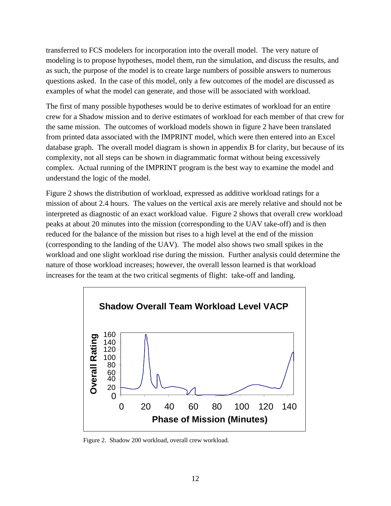transferred to FCS modelers for incorporation into the overall model. The very nature of modeling is to propose hypotheses, model them, run the simulation, and discuss the results, and as such, the purpose of the model is to create large numbers of possible answers to numerous questions asked. In the case of this model, only a few outcomes of the model are discussed as examples of what the model can generate, and those will be associated with workload.

The first of many possible hypotheses would be to derive estimates of workload for an entire crew for a Shadow mission and to derive estimates of workload for each member of that crew for the same mission. The outcomes of workload models shown in figure 2 have been translated from printed data associated with the IMPRINT model, which were then entered into an Excel database graph. The overall model diagram is shown in appendix B for clarity, but because of its complexity, not all steps can be shown in diagrammatic format without being excessively complex. Actual running of the IMPRINT program is the best way to examine the model and understand the logic of the model.

Figure 2 shows the distribution of workload, expressed as additive workload ratings for a mission of about 2.4 hours. The values on the vertical axis are merely relative and should not be interpreted as diagnostic of an exact workload value. Figure 2 shows that overall crew workload peaks at about 20 minutes into the mission (corresponding to the UAV take-off) and is then reduced for the balance of the mission but rises to a high level at the end of the mission (corresponding to the landing of the UAV). The model also shows two small spikes in the workload and one slight workload rise during the mission. Further analysis could determine the nature of those workload increases; however, the overall lesson learned is that workload increases for the team at the two critical segments of flight: take-off and landing.



Figure 2. Shadow 200 workload, overall crew workload.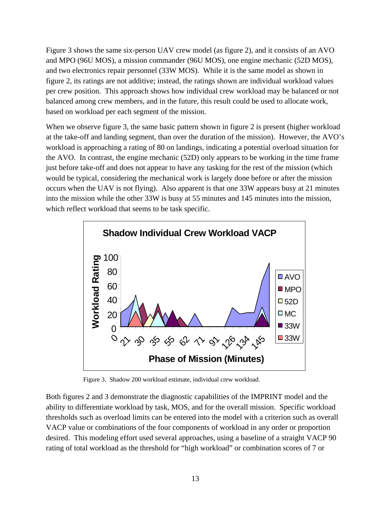Figure 3 shows the same six-person UAV crew model (as figure 2), and it consists of an AVO and MPO (96U MOS), a mission commander (96U MOS), one engine mechanic (52D MOS), and two electronics repair personnel (33W MOS). While it is the same model as shown in figure 2, its ratings are not additive; instead, the ratings shown are individual workload values per crew position. This approach shows how individual crew workload may be balanced or not balanced among crew members, and in the future, this result could be used to allocate work, based on workload per each segment of the mission.

When we observe figure 3, the same basic pattern shown in figure 2 is present (higher workload at the take-off and landing segment, than over the duration of the mission). However, the AVO's workload is approaching a rating of 80 on landings, indicating a potential overload situation for the AVO. In contrast, the engine mechanic (52D) only appears to be working in the time frame just before take-off and does not appear to have any tasking for the rest of the mission (which would be typical, considering the mechanical work is largely done before or after the mission occurs when the UAV is not flying). Also apparent is that one 33W appears busy at 21 minutes into the mission while the other 33W is busy at 55 minutes and 145 minutes into the mission, which reflect workload that seems to be task specific.



Figure 3. Shadow 200 workload estimate, individual crew workload.

Both figures 2 and 3 demonstrate the diagnostic capabilities of the IMPRINT model and the ability to differentiate workload by task, MOS, and for the overall mission. Specific workload thresholds such as overload limits can be entered into the model with a criterion such as overall VACP value or combinations of the four components of workload in any order or proportion desired. This modeling effort used several approaches, using a baseline of a straight VACP 90 rating of total workload as the threshold for "high workload" or combination scores of 7 or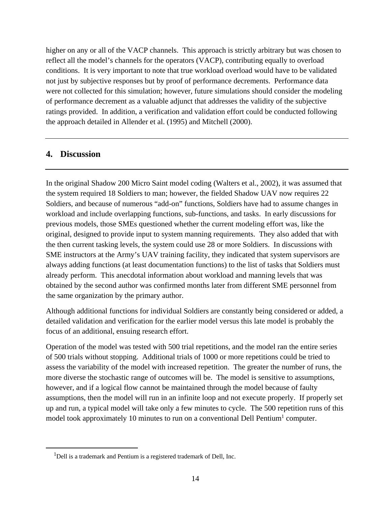higher on any or all of the VACP channels. This approach is strictly arbitrary but was chosen to reflect all the model's channels for the operators (VACP), contributing equally to overload conditions. It is very important to note that true workload overload would have to be validated not just by subjective responses but by proof of performance decrements. Performance data were not collected for this simulation; however, future simulations should consider the modeling of performance decrement as a valuable adjunct that addresses the validity of the subjective ratings provided. In addition, a verification and validation effort could be conducted following the approach detailed in Allender et al. (1995) and Mitchell (2000).

### **4. Discussion**

In the original Shadow 200 Micro Saint model coding (Walters et al., 2002), it was assumed that the system required 18 Soldiers to man; however, the fielded Shadow UAV now requires 22 Soldiers, and because of numerous "add-on" functions, Soldiers have had to assume changes in workload and include overlapping functions, sub-functions, and tasks. In early discussions for previous models, those SMEs questioned whether the current modeling effort was, like the original, designed to provide input to system manning requirements. They also added that with the then current tasking levels, the system could use 28 or more Soldiers. In discussions with SME instructors at the Army's UAV training facility, they indicated that system supervisors are always adding functions (at least documentation functions) to the list of tasks that Soldiers must already perform. This anecdotal information about workload and manning levels that was obtained by the second author was confirmed months later from different SME personnel from the same organization by the primary author.

Although additional functions for individual Soldiers are constantly being considered or added, a detailed validation and verification for the earlier model versus this late model is probably the focus of an additional, ensuing research effort.

Operation of the model was tested with 500 trial repetitions, and the model ran the entire series of 500 trials without stopping. Additional trials of 1000 or more repetitions could be tried to assess the variability of the model with increased repetition. The greater the number of runs, the more diverse the stochastic range of outcomes will be. The model is sensitive to assumptions, however, and if a logical flow cannot be maintained through the model because of faulty assumptions, then the model will run in an infinite loop and not execute properly. If properly set up and run, a typical model will take only a few minutes to cycle. The 500 repetition runs of this model took approximately 10 minutes to run on a conventional Dell Pentium<sup>1</sup> computer.

<sup>&</sup>lt;sup>1</sup>Dell is a trademark and Pentium is a registered trademark of Dell, Inc.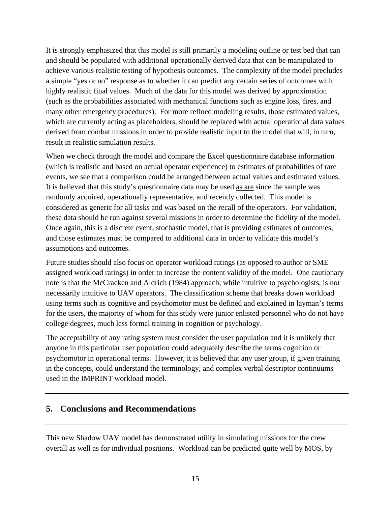It is strongly emphasized that this model is still primarily a modeling outline or test bed that can and should be populated with additional operationally derived data that can be manipulated to achieve various realistic testing of hypothesis outcomes. The complexity of the model precludes a simple "yes or no" response as to whether it can predict any certain series of outcomes with highly realistic final values. Much of the data for this model was derived by approximation (such as the probabilities associated with mechanical functions such as engine loss, fires, and many other emergency procedures). For more refined modeling results, those estimated values, which are currently acting as placeholders, should be replaced with actual operational data values derived from combat missions in order to provide realistic input to the model that will, in turn, result in realistic simulation results.

When we check through the model and compare the Excel questionnaire database information (which is realistic and based on actual operator experience) to estimates of probabilities of rare events, we see that a comparison could be arranged between actual values and estimated values. It is believed that this study's questionnaire data may be used as are since the sample was randomly acquired, operationally representative, and recently collected. This model is considered as generic for all tasks and was based on the recall of the operators. For validation, these data should be run against several missions in order to determine the fidelity of the model. Once again, this is a discrete event, stochastic model, that is providing estimates of outcomes, and those estimates must be compared to additional data in order to validate this model's assumptions and outcomes.

Future studies should also focus on operator workload ratings (as opposed to author or SME assigned workload ratings) in order to increase the content validity of the model. One cautionary note is that the McCracken and Aldrich (1984) approach, while intuitive to psychologists, is not necessarily intuitive to UAV operators. The classification scheme that breaks down workload using terms such as cognitive and psychomotor must be defined and explained in layman's terms for the users, the majority of whom for this study were junior enlisted personnel who do not have college degrees, much less formal training in cognition or psychology.

The acceptability of any rating system must consider the user population and it is unlikely that anyone in this particular user population could adequately describe the terms cognition or psychomotor in operational terms. However, it is believed that any user group, if given training in the concepts, could understand the terminology, and complex verbal descriptor continuums used in the IMPRINT workload model.

## **5. Conclusions and Recommendations**

This new Shadow UAV model has demonstrated utility in simulating missions for the crew overall as well as for individual positions. Workload can be predicted quite well by MOS, by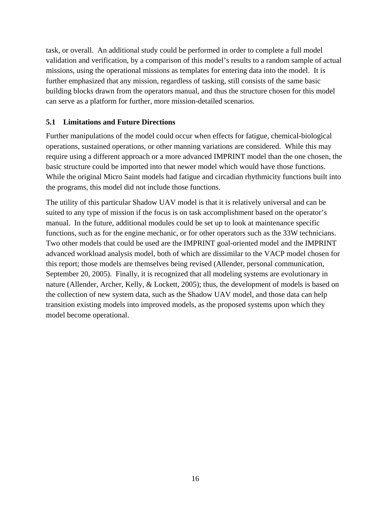task, or overall. An additional study could be performed in order to complete a full model validation and verification, by a comparison of this model's results to a random sample of actual missions, using the operational missions as templates for entering data into the model. It is further emphasized that any mission, regardless of tasking, still consists of the same basic building blocks drawn from the operators manual, and thus the structure chosen for this model can serve as a platform for further, more mission-detailed scenarios.

### **5.1 Limitations and Future Directions**

Further manipulations of the model could occur when effects for fatigue, chemical-biological operations, sustained operations, or other manning variations are considered. While this may require using a different approach or a more advanced IMPRINT model than the one chosen, the basic structure could be imported into that newer model which would have those functions. While the original Micro Saint models had fatigue and circadian rhythmicity functions built into the programs, this model did not include those functions.

The utility of this particular Shadow UAV model is that it is relatively universal and can be suited to any type of mission if the focus is on task accomplishment based on the operator's manual. In the future, additional modules could be set up to look at maintenance specific functions, such as for the engine mechanic, or for other operators such as the 33W technicians. Two other models that could be used are the IMPRINT goal-oriented model and the IMPRINT advanced workload analysis model, both of which are dissimilar to the VACP model chosen for this report; those models are themselves being revised (Allender, personal communication, September 20, 2005). Finally, it is recognized that all modeling systems are evolutionary in nature (Allender, Archer, Kelly, & Lockett, 2005); thus, the development of models is based on the collection of new system data, such as the Shadow UAV model, and those data can help transition existing models into improved models, as the proposed systems upon which they model become operational.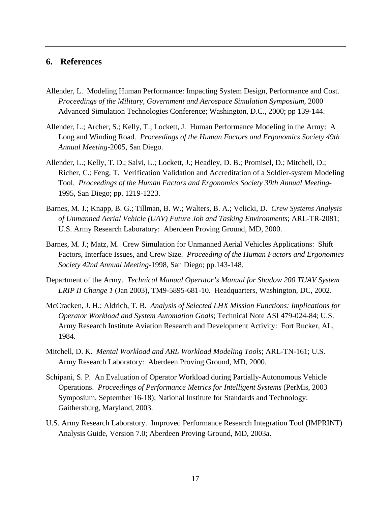### **6. References**

- Allender, L. Modeling Human Performance: Impacting System Design, Performance and Cost. *Proceedings of the Military, Government and Aerospace Simulation Symposium*, 2000 Advanced Simulation Technologies Conference; Washington, D.C., 2000; pp 139-144.
- Allender, L.; Archer, S.; Kelly, T.; Lockett, J. Human Performance Modeling in the Army: A Long and Winding Road. *Proceedings of the Human Factors and Ergonomics Society 49th Annual Meeting*-2005, San Diego.
- Allender, L.; Kelly, T. D.; Salvi, L.; Lockett, J.; Headley, D. B.; Promisel, D.; Mitchell, D.; Richer, C.; Feng, T. Verification Validation and Accreditation of a Soldier-system Modeling Tool. *Proceedings of the Human Factors and Ergonomics Society 39th Annual Meeting*-1995, San Diego; pp. 1219-1223.
- Barnes, M. J.; Knapp, B. G.; Tillman, B. W.; Walters, B. A.; Velicki, D. *Crew Systems Analysis of Unmanned Aerial Vehicle (UAV) Future Job and Tasking Environments*; ARL-TR-2081; U.S. Army Research Laboratory: Aberdeen Proving Ground, MD, 2000.
- Barnes, M. J.; Matz, M. Crew Simulation for Unmanned Aerial Vehicles Applications: Shift Factors, Interface Issues, and Crew Size. *Proceeding of the Human Factors and Ergonomics Society 42nd Annual Meeting*-1998, San Diego; pp.143-148.
- Department of the Army. *Technical Manual Operator's Manual for Shadow 200 TUAV System LRIP II Change 1* (Jan 2003), TM9-5895-681-10. Headquarters, Washington, DC, 2002.
- McCracken, J. H.; Aldrich, T. B. *Analysis of Selected LHX Mission Functions: Implications for Operator Workload and System Automation Goals*; Technical Note ASI 479-024-84; U.S. Army Research Institute Aviation Research and Development Activity: Fort Rucker, AL, 1984.
- Mitchell, D. K. *Mental Workload and ARL Workload Modeling Tools*; ARL-TN-161; U.S. Army Research Laboratory: Aberdeen Proving Ground, MD, 2000.
- Schipani, S. P. An Evaluation of Operator Workload during Partially-Autonomous Vehicle Operations. *Proceedings of Performance Metrics for Intelligent Systems* (PerMis, 2003 Symposium, September 16-18); National Institute for Standards and Technology: Gaithersburg, Maryland, 2003.
- U.S. Army Research Laboratory. Improved Performance Research Integration Tool (IMPRINT) Analysis Guide, Version 7.0; Aberdeen Proving Ground, MD, 2003a.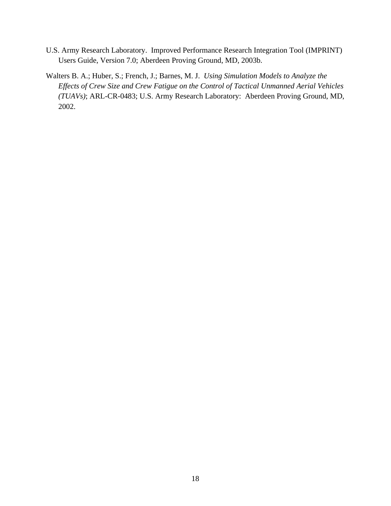- U.S. Army Research Laboratory. Improved Performance Research Integration Tool (IMPRINT) Users Guide, Version 7.0; Aberdeen Proving Ground, MD, 2003b.
- Walters B. A.; Huber, S.; French, J.; Barnes, M. J. *Using Simulation Models to Analyze the Effects of Crew Size and Crew Fatigue on the Control of Tactical Unmanned Aerial Vehicles (TUAVs)*; ARL-CR-0483; U.S. Army Research Laboratory: Aberdeen Proving Ground, MD, 2002.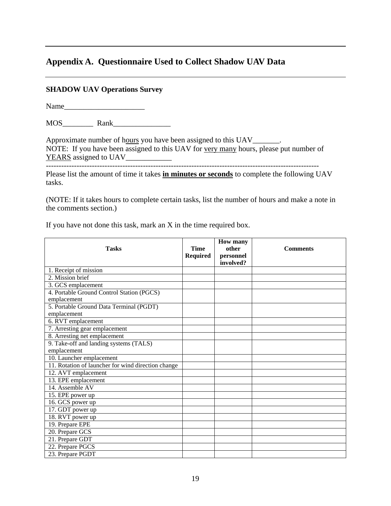## **Appendix A. Questionnaire Used to Collect Shadow UAV Data**

#### **SHADOW UAV Operations Survey**

Name\_\_\_\_\_\_\_\_\_\_\_\_\_\_\_\_\_\_\_\_\_

MOS\_\_\_\_\_\_\_\_ Rank\_\_\_\_\_\_\_\_\_\_\_\_\_\_\_

Approximate number of hours you have been assigned to this UAV\_\_\_\_\_\_\_. NOTE: If you have been assigned to this UAV for very many hours, please put number of YEARS assigned to UAV\_\_\_\_\_\_\_\_\_\_\_\_ -----------------------------------------------------------------------------------------------------------

Please list the amount of time it takes **in minutes or seconds** to complete the following UAV tasks.

(NOTE: If it takes hours to complete certain tasks, list the number of hours and make a note in the comments section.)

If you have not done this task, mark an X in the time required box.

|                                                    |                 | <b>How many</b>        |                 |
|----------------------------------------------------|-----------------|------------------------|-----------------|
| <b>Tasks</b>                                       | <b>Time</b>     | other                  | <b>Comments</b> |
|                                                    | <b>Required</b> | personnel<br>involved? |                 |
| 1. Receipt of mission                              |                 |                        |                 |
| 2. Mission brief                                   |                 |                        |                 |
| 3. GCS emplacement                                 |                 |                        |                 |
| 4. Portable Ground Control Station (PGCS)          |                 |                        |                 |
| emplacement                                        |                 |                        |                 |
| 5. Portable Ground Data Terminal (PGDT)            |                 |                        |                 |
| emplacement                                        |                 |                        |                 |
| 6. RVT emplacement                                 |                 |                        |                 |
| 7. Arresting gear emplacement                      |                 |                        |                 |
| 8. Arresting net emplacement                       |                 |                        |                 |
| 9. Take-off and landing systems (TALS)             |                 |                        |                 |
| emplacement                                        |                 |                        |                 |
| 10. Launcher emplacement                           |                 |                        |                 |
| 11. Rotation of launcher for wind direction change |                 |                        |                 |
| 12. AVT emplacement                                |                 |                        |                 |
| 13. EPE emplacement                                |                 |                        |                 |
| 14. Assemble AV                                    |                 |                        |                 |
| 15. EPE power up                                   |                 |                        |                 |
| 16. GCS power up                                   |                 |                        |                 |
| 17. GDT power up                                   |                 |                        |                 |
| 18. RVT power up                                   |                 |                        |                 |
| 19. Prepare EPE                                    |                 |                        |                 |
| 20. Prepare GCS                                    |                 |                        |                 |
| 21. Prepare GDT<br>22. Prepare PGCS                |                 |                        |                 |
|                                                    |                 |                        |                 |
| 23. Prepare PGDT                                   |                 |                        |                 |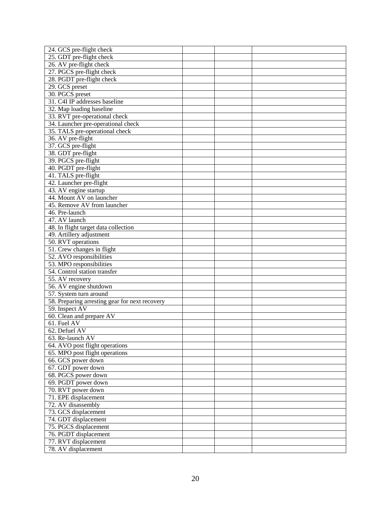| 24. GCS pre-flight check                       |  |  |
|------------------------------------------------|--|--|
| 25. GDT pre-flight check                       |  |  |
| 26. AV pre-flight check                        |  |  |
| 27. PGCS pre-flight check                      |  |  |
| 28. PGDT pre-flight check                      |  |  |
| 29. GCS preset                                 |  |  |
| 30. PGCS preset                                |  |  |
| 31. C4I IP addresses baseline                  |  |  |
| 32. Map loading baseline                       |  |  |
|                                                |  |  |
| 33. RVT pre-operational check                  |  |  |
| 34. Launcher pre-operational check             |  |  |
| 35. TALS pre-operational check                 |  |  |
| 36. AV pre-flight                              |  |  |
| 37. GCS pre-flight                             |  |  |
| 38. GDT pre-flight                             |  |  |
| 39. PGCS pre-flight                            |  |  |
| 40. PGDT pre-flight                            |  |  |
| 41. TALS pre-flight                            |  |  |
| 42. Launcher pre-flight                        |  |  |
| 43. AV engine startup                          |  |  |
| 44. Mount AV on launcher                       |  |  |
| 45. Remove AV from launcher                    |  |  |
| 46. Pre-launch                                 |  |  |
| 47. AV launch                                  |  |  |
| 48. In flight target data collection           |  |  |
| 49. Artillery adjustment                       |  |  |
| 50. RVT operations                             |  |  |
| 51. Crew changes in flight                     |  |  |
| 52. AVO responsibilities                       |  |  |
| 53. MPO responsibilities                       |  |  |
| 54. Control station transfer                   |  |  |
| 55. AV recovery                                |  |  |
| 56. AV engine shutdown                         |  |  |
| 57. System turn around                         |  |  |
| 58. Preparing arresting gear for next recovery |  |  |
| 59. Inspect AV                                 |  |  |
| 60. Clean and prepare AV                       |  |  |
| 61. Fuel AV                                    |  |  |
| 62. Defuel AV                                  |  |  |
| 63. Re-launch AV                               |  |  |
| 64. AVO post flight operations                 |  |  |
| 65. MPO post flight operations                 |  |  |
| 66. GCS power down                             |  |  |
| 67. GDT power down                             |  |  |
| 68. PGCS power down                            |  |  |
| 69. PGDT power down                            |  |  |
| 70. RVT power down                             |  |  |
| 71. EPE displacement                           |  |  |
| 72. AV disassembly                             |  |  |
| 73. GCS displacement                           |  |  |
| 74. GDT displacement                           |  |  |
| 75. PGCS displacement                          |  |  |
| 76. PGDT displacement                          |  |  |
| 77. RVT displacement                           |  |  |
| 78. AV displacement                            |  |  |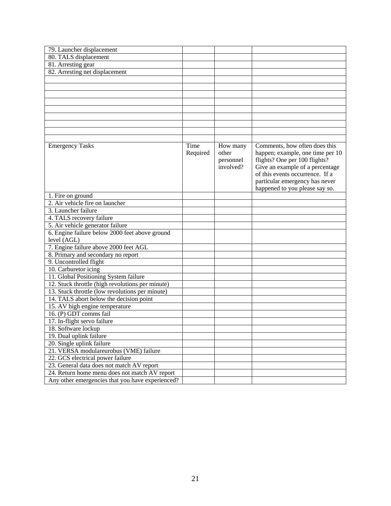| 79. Launcher displacement                        |                  |                                             |                                                                                                                                                                                                                                              |
|--------------------------------------------------|------------------|---------------------------------------------|----------------------------------------------------------------------------------------------------------------------------------------------------------------------------------------------------------------------------------------------|
| 80. TALS displacement                            |                  |                                             |                                                                                                                                                                                                                                              |
| 81. Arresting gear                               |                  |                                             |                                                                                                                                                                                                                                              |
| 82. Arresting net displacement                   |                  |                                             |                                                                                                                                                                                                                                              |
|                                                  |                  |                                             |                                                                                                                                                                                                                                              |
|                                                  |                  |                                             |                                                                                                                                                                                                                                              |
|                                                  |                  |                                             |                                                                                                                                                                                                                                              |
|                                                  |                  |                                             |                                                                                                                                                                                                                                              |
|                                                  |                  |                                             |                                                                                                                                                                                                                                              |
|                                                  |                  |                                             |                                                                                                                                                                                                                                              |
|                                                  |                  |                                             |                                                                                                                                                                                                                                              |
|                                                  |                  |                                             |                                                                                                                                                                                                                                              |
|                                                  |                  |                                             |                                                                                                                                                                                                                                              |
| <b>Emergency Tasks</b>                           | Time<br>Required | How many<br>other<br>personnel<br>involved? | Comments, how often does this<br>happen; example, one time per 10<br>flights? One per 100 flights?<br>Give an example of a percentage<br>of this events occurrence. If a<br>particular emergency has never<br>happened to you please say so. |
| 1. Fire on ground                                |                  |                                             |                                                                                                                                                                                                                                              |
| 2. Air vehicle fire on launcher                  |                  |                                             |                                                                                                                                                                                                                                              |
| 3. Launcher failure                              |                  |                                             |                                                                                                                                                                                                                                              |
| 4. TALS recovery failure                         |                  |                                             |                                                                                                                                                                                                                                              |
| 5. Air vehicle generator failure                 |                  |                                             |                                                                                                                                                                                                                                              |
| 6. Engine failure below 2000 feet above ground   |                  |                                             |                                                                                                                                                                                                                                              |
| level (AGL)                                      |                  |                                             |                                                                                                                                                                                                                                              |
| 7. Engine failure above 2000 feet AGL            |                  |                                             |                                                                                                                                                                                                                                              |
| 8. Primary and secondary no report               |                  |                                             |                                                                                                                                                                                                                                              |
| 9. Uncontrolled flight                           |                  |                                             |                                                                                                                                                                                                                                              |
| 10. Carburetor icing                             |                  |                                             |                                                                                                                                                                                                                                              |
| 11. Global Positioning System failure            |                  |                                             |                                                                                                                                                                                                                                              |
| 12. Stuck throttle (high revolutions per minute) |                  |                                             |                                                                                                                                                                                                                                              |
| 13. Stuck throttle (low revolutions per minute)  |                  |                                             |                                                                                                                                                                                                                                              |
| 14. TALS abort below the decision point          |                  |                                             |                                                                                                                                                                                                                                              |
| 15. AV high engine temperature                   |                  |                                             |                                                                                                                                                                                                                                              |
| 16. (P) GDT comms fail                           |                  |                                             |                                                                                                                                                                                                                                              |
| 17. In-flight servo failure                      |                  |                                             |                                                                                                                                                                                                                                              |
| 18. Software lockup                              |                  |                                             |                                                                                                                                                                                                                                              |
| 19. Dual uplink failure                          |                  |                                             |                                                                                                                                                                                                                                              |
| 20. Single uplink failure                        |                  |                                             |                                                                                                                                                                                                                                              |
| 21. VERSA modulareurobus (VME) failure           |                  |                                             |                                                                                                                                                                                                                                              |
| 22. GCS electrical power failure                 |                  |                                             |                                                                                                                                                                                                                                              |
| 23. General data does not match AV report        |                  |                                             |                                                                                                                                                                                                                                              |
| 24. Return home menu does not match AV report    |                  |                                             |                                                                                                                                                                                                                                              |
| Any other emergencies that you have experienced? |                  |                                             |                                                                                                                                                                                                                                              |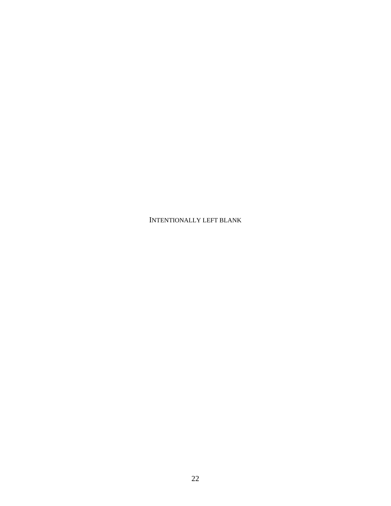#### INTENTIONALLY LEFT BLANK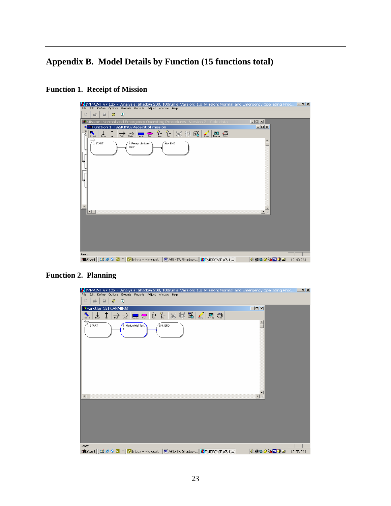## **Appendix B. Model Details by Function (15 functions total)**



### **Function 1. Receipt of Mission**

#### **Function 2. Planning**

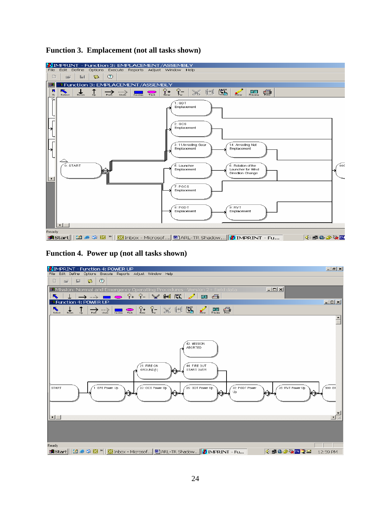

### **Function 3. Emplacement (not all tasks shown)**

**Function 4. Power up (not all tasks shown)** 

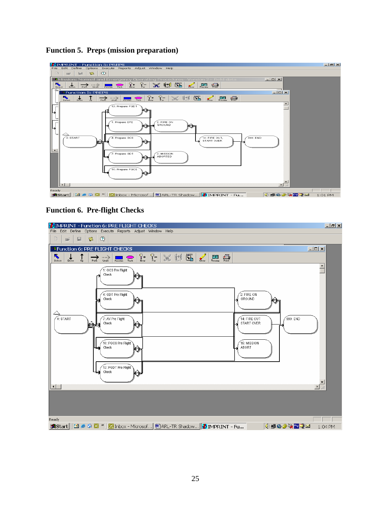

#### **Function 5. Preps (mission preparation)**

### **Function 6. Pre-flight Checks**

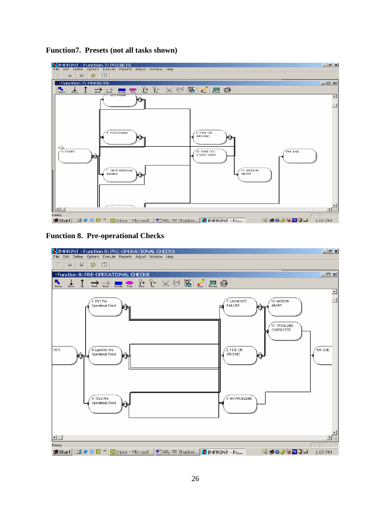

#### **Function7. Presets (not all tasks shown)**

### **Function 8. Pre-operational Checks**

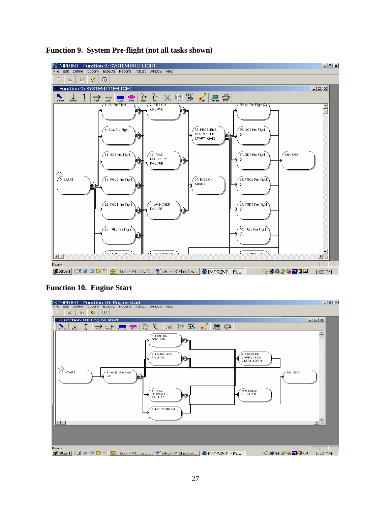

### **Function 9. System Pre-flight (not all tasks shown)**

**Function 10. Engine Start** 

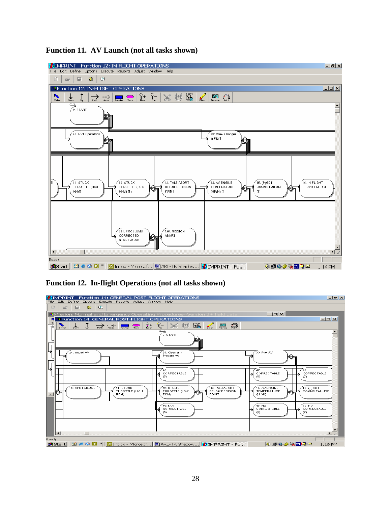

**Function 11. AV Launch (not all tasks shown)** 

**Function 12. In-flight Operations (not all tasks shown)** 

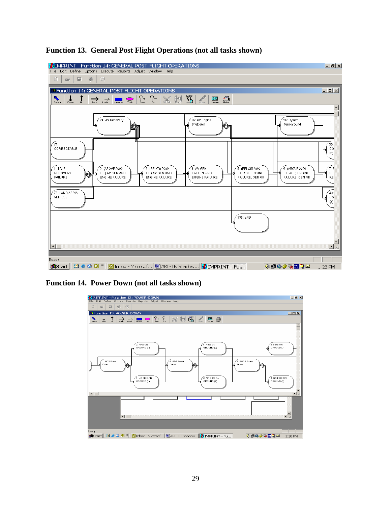

### **Function 13. General Post Flight Operations (not all tasks shown)**

**Function 14. Power Down (not all tasks shown)** 

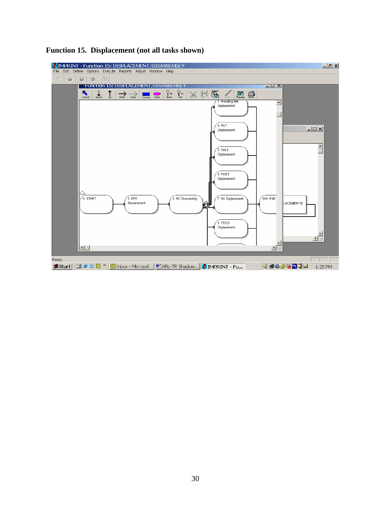

### **Function 15. Displacement (not all tasks shown)**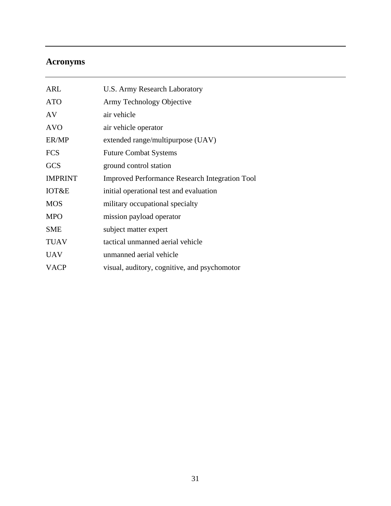## **Acronyms**

| <b>ARL</b>     | U.S. Army Research Laboratory                         |
|----------------|-------------------------------------------------------|
| <b>ATO</b>     | Army Technology Objective                             |
| AV             | air vehicle                                           |
| <b>AVO</b>     | air vehicle operator                                  |
| ER/MP          | extended range/multipurpose (UAV)                     |
| <b>FCS</b>     | <b>Future Combat Systems</b>                          |
| <b>GCS</b>     | ground control station                                |
| <b>IMPRINT</b> | <b>Improved Performance Research Integration Tool</b> |
| IOT&E          | initial operational test and evaluation               |
| <b>MOS</b>     | military occupational specialty                       |
| <b>MPO</b>     | mission payload operator                              |
| <b>SME</b>     | subject matter expert                                 |
| <b>TUAV</b>    | tactical unmanned aerial vehicle                      |
| <b>UAV</b>     | unmanned aerial vehicle                               |
| <b>VACP</b>    | visual, auditory, cognitive, and psychomotor          |
|                |                                                       |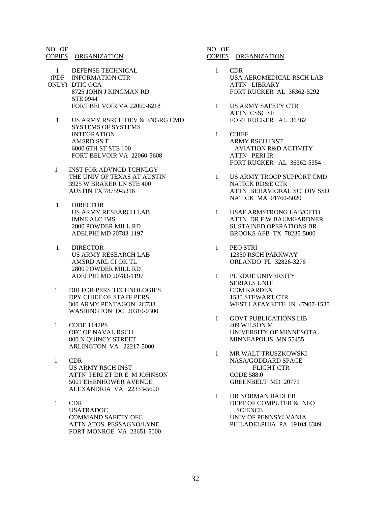NO. OF COPIES ORGANIZATION

- 1 DEFENSE TECHNICAL
- (PDF INFORMATION CTR
- ONLY) DTIC OCA 8725 JOHN J KINGMAN RD STE 0944 FORT BELVOIR VA 22060-6218
	- 1 US ARMY RSRCH DEV & ENGRG CMD SYSTEMS OF SYSTEMS INTEGRATION AMSRD SS T 6000 6TH ST STE 100 FORT BELVOIR VA 22060-5608
	- 1 INST FOR ADVNCD TCHNLGY THE UNIV OF TEXAS AT AUSTIN 3925 W BRAKER LN STE 400 AUSTIN TX 78759-5316
	- 1 DIRECTOR US ARMY RESEARCH LAB IMNE ALC IMS 2800 POWDER MILL RD ADELPHI MD 20783-1197
	- 1 DIRECTOR US ARMY RESEARCH LAB AMSRD ARL CI OK TL 2800 POWDER MILL RD ADELPHI MD 20783-1197
	- 1 DIR FOR PERS TECHNOLOGIES DPY CHIEF OF STAFF PERS 300 ARMY PENTAGON 2C733 WASHINGTON DC 20310-0300
	- 1 CODE 1142PS OFC OF NAVAL RSCH 800 N QUINCY STREET ARLINGTON VA 22217-5000
	- 1 CDR US ARMY RSCH INST ATTN PERI ZT DR E M JOHNSON 5001 EISENHOWER AVENUE ALEXANDRIA VA 22333-5600
	- 1 CDR USATRADOC COMMAND SAFETY OFC ATTN ATOS PESSAGNO/LYNE FORT MONROE VA 23651-5000

NO. OF COPIES ORGANIZATION

- 1 CDR USA AEROMEDICAL RSCH LAB ATTN LIBRARY FORT RUCKER AL 36362-5292
- 1 US ARMY SAFETY CTR ATTN CSSC SE FORT RUCKER AL 36362
- 1 CHIEF ARMY RSCH INST AVIATION R&D ACTIVITY ATTN PERI IR FORT RUCKER AL 36362-5354
- 1 US ARMY TROOP SUPPORT CMD NATICK RD&E CTR ATTN BEHAVIORAL SCI DIV SSD NATICK MA 01760-5020
- 1 USAF ARMSTRONG LAB/CFTO ATTN DR F W BAUMGARDNER SUSTAINED OPERATIONS BR BROOKS AFB TX 78235-5000
- 1 PEO STRI 12350 RSCH PARKWAY ORLANDO FL 32826-3276
- 1 PURDUE UNIVERSITY SERIALS UNIT CDM KARDEX 1535 STEWART CTR WEST LAFAYETTE IN 47907-1535
- 1 GOVT PUBLICATIONS LIB 409 WILSON M UNIVERSITY OF MINNESOTA MINNEAPOLIS MN 55455
- 1 MR WALT TRUSZKOWSKI NASA/GODDARD SPACE FLIGHT CTR CODE 588.0 GREENBELT MD 20771
- 1 DR NORMAN BADLER DEPT OF COMPUTER & INFO **SCIENCE**  UNIV OF PENNSYLVANIA PHILADELPHIA PA 19104-6389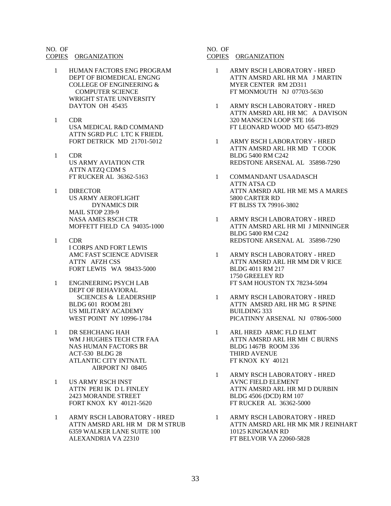#### NO. OF COPIES ORGANIZATION

- 1 HUMAN FACTORS ENG PROGRAM DEPT OF BIOMEDICAL ENGNG COLLEGE OF ENGINEERING & COMPUTER SCIENCE WRIGHT STATE UNIVERSITY DAYTON OH 45435
- 1 CDR USA MEDICAL R&D COMMAND ATTN SGRD PLC LTC K FRIEDL FORT DETRICK MD 21701-5012
- 1 CDR US ARMY AVIATION CTR ATTN ATZQ CDM S FT RUCKER AL 36362-5163
- 1 DIRECTOR US ARMY AEROFLIGHT DYNAMICS DIR MAIL STOP 239-9 NASA AMES RSCH CTR MOFFETT FIELD CA 94035-1000
- 1 CDR I CORPS AND FORT LEWIS AMC FAST SCIENCE ADVISER ATTN AFZH CSS FORT LEWIS WA 98433-5000
- 1 ENGINEERING PSYCH LAB DEPT OF BEHAVIORAL SCIENCES & LEADERSHIP BLDG 601 ROOM 281 US MILITARY ACADEMY WEST POINT NY 10996-1784
- 1 DR SEHCHANG HAH WM J HUGHES TECH CTR FAA NAS HUMAN FACTORS BR ACT-530 BLDG 28 ATLANTIC CITY INTNATL AIRPORT NJ 08405
- 1 US ARMY RSCH INST ATTN PERI IK D L FINLEY 2423 MORANDE STREET FORT KNOX KY 40121-5620
- 1 ARMY RSCH LABORATORY HRED ATTN AMSRD ARL HR M DR M STRUB 6359 WALKER LANE SUITE 100 ALEXANDRIA VA 22310

NO. OF

#### COPIES ORGANIZATION

- 1 ARMY RSCH LABORATORY HRED ATTN AMSRD ARL HR MA J MARTIN MYER CENTER RM 2D311 FT MONMOUTH NJ 07703-5630
- 1 ARMY RSCH LABORATORY HRED ATTN AMSRD ARL HR MC A DAVISON 320 MANSCEN LOOP STE 166 FT LEONARD WOOD MO 65473-8929
- 1 ARMY RSCH LABORATORY HRED ATTN AMSRD ARL HR MD T COOK BLDG 5400 RM C242 REDSTONE ARSENAL AL 35898-7290
- 1 COMMANDANT USAADASCH ATTN ATSA CD ATTN AMSRD ARL HR ME MS A MARES 5800 CARTER RD FT BLISS TX 79916-3802
- 1 ARMY RSCH LABORATORY HRED ATTN AMSRD ARL HR MI J MINNINGER BLDG 5400 RM C242 REDSTONE ARSENAL AL 35898-7290
- 1 ARMY RSCH LABORATORY HRED ATTN AMSRD ARL HR MM DR V RICE BLDG 4011 RM 217 1750 GREELEY RD FT SAM HOUSTON TX 78234-5094
- 1 ARMY RSCH LABORATORY HRED ATTN AMSRD ARL HR MG R SPINE BUILDING 333 PICATINNY ARSENAL NJ 07806-5000
- 1 ARL HRED ARMC FLD ELMT ATTN AMSRD ARL HR MH C BURNS BLDG 1467B ROOM 336 THIRD AVENUE FT KNOX KY 40121
- 1 ARMY RSCH LABORATORY HRED AVNC FIELD ELEMENT ATTN AMSRD ARL HR MJ D DURBIN BLDG 4506 (DCD) RM 107 FT RUCKER AL 36362-5000
- 1 ARMY RSCH LABORATORY HRED ATTN AMSRD ARL HR MK MR J REINHART 10125 KINGMAN RD FT BELVOIR VA 22060-5828